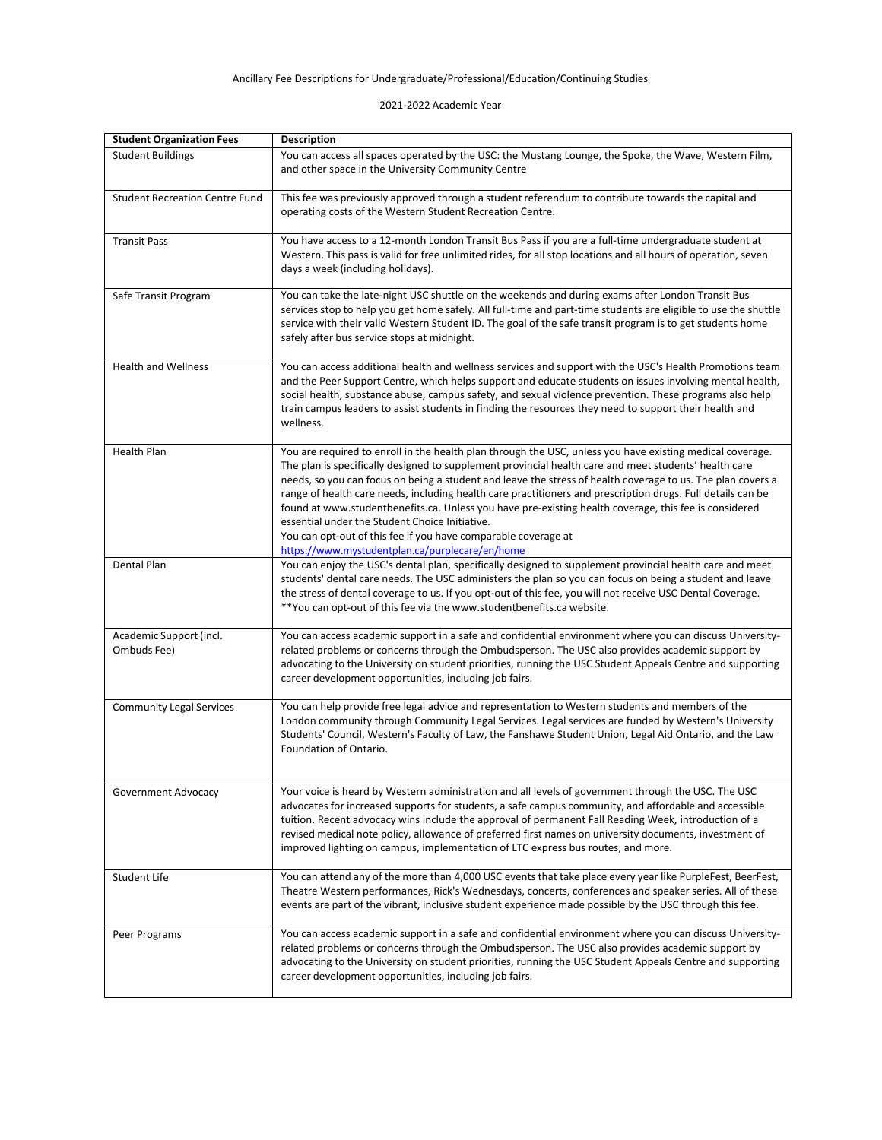## Ancillary Fee Descriptions for Undergraduate/Professional/Education/Continuing Studies

## 2021-2022 Academic Year

| <b>Student Organization Fees</b>       | <b>Description</b>                                                                                                                                                                                                                                                                                                                                                                                                                                                                                                                                                                                                                                                                                                               |
|----------------------------------------|----------------------------------------------------------------------------------------------------------------------------------------------------------------------------------------------------------------------------------------------------------------------------------------------------------------------------------------------------------------------------------------------------------------------------------------------------------------------------------------------------------------------------------------------------------------------------------------------------------------------------------------------------------------------------------------------------------------------------------|
| <b>Student Buildings</b>               | You can access all spaces operated by the USC: the Mustang Lounge, the Spoke, the Wave, Western Film,<br>and other space in the University Community Centre                                                                                                                                                                                                                                                                                                                                                                                                                                                                                                                                                                      |
| <b>Student Recreation Centre Fund</b>  | This fee was previously approved through a student referendum to contribute towards the capital and<br>operating costs of the Western Student Recreation Centre.                                                                                                                                                                                                                                                                                                                                                                                                                                                                                                                                                                 |
| <b>Transit Pass</b>                    | You have access to a 12-month London Transit Bus Pass if you are a full-time undergraduate student at<br>Western. This pass is valid for free unlimited rides, for all stop locations and all hours of operation, seven<br>days a week (including holidays).                                                                                                                                                                                                                                                                                                                                                                                                                                                                     |
| Safe Transit Program                   | You can take the late-night USC shuttle on the weekends and during exams after London Transit Bus<br>services stop to help you get home safely. All full-time and part-time students are eligible to use the shuttle<br>service with their valid Western Student ID. The goal of the safe transit program is to get students home<br>safely after bus service stops at midnight.                                                                                                                                                                                                                                                                                                                                                 |
| <b>Health and Wellness</b>             | You can access additional health and wellness services and support with the USC's Health Promotions team<br>and the Peer Support Centre, which helps support and educate students on issues involving mental health,<br>social health, substance abuse, campus safety, and sexual violence prevention. These programs also help<br>train campus leaders to assist students in finding the resources they need to support their health and<br>wellness.                                                                                                                                                                                                                                                                           |
| <b>Health Plan</b>                     | You are required to enroll in the health plan through the USC, unless you have existing medical coverage.<br>The plan is specifically designed to supplement provincial health care and meet students' health care<br>needs, so you can focus on being a student and leave the stress of health coverage to us. The plan covers a<br>range of health care needs, including health care practitioners and prescription drugs. Full details can be<br>found at www.studentbenefits.ca. Unless you have pre-existing health coverage, this fee is considered<br>essential under the Student Choice Initiative.<br>You can opt-out of this fee if you have comparable coverage at<br>https://www.mystudentplan.ca/purplecare/en/home |
| Dental Plan                            | You can enjoy the USC's dental plan, specifically designed to supplement provincial health care and meet<br>students' dental care needs. The USC administers the plan so you can focus on being a student and leave<br>the stress of dental coverage to us. If you opt-out of this fee, you will not receive USC Dental Coverage.<br>**You can opt-out of this fee via the www.studentbenefits.ca website.                                                                                                                                                                                                                                                                                                                       |
| Academic Support (incl.<br>Ombuds Fee) | You can access academic support in a safe and confidential environment where you can discuss University-<br>related problems or concerns through the Ombudsperson. The USC also provides academic support by<br>advocating to the University on student priorities, running the USC Student Appeals Centre and supporting<br>career development opportunities, including job fairs.                                                                                                                                                                                                                                                                                                                                              |
| <b>Community Legal Services</b>        | You can help provide free legal advice and representation to Western students and members of the<br>London community through Community Legal Services. Legal services are funded by Western's University<br>Students' Council, Western's Faculty of Law, the Fanshawe Student Union, Legal Aid Ontario, and the Law<br>Foundation of Ontario.                                                                                                                                                                                                                                                                                                                                                                                    |
| Government Advocacy                    | Your voice is heard by Western administration and all levels of government through the USC. The USC<br>advocates for increased supports for students, a safe campus community, and affordable and accessible<br>tuition. Recent advocacy wins include the approval of permanent Fall Reading Week, introduction of a<br>revised medical note policy, allowance of preferred first names on university documents, investment of<br>improved lighting on campus, implementation of LTC express bus routes, and more.                                                                                                                                                                                                               |
| Student Life                           | You can attend any of the more than 4,000 USC events that take place every year like PurpleFest, BeerFest,<br>Theatre Western performances, Rick's Wednesdays, concerts, conferences and speaker series. All of these<br>events are part of the vibrant, inclusive student experience made possible by the USC through this fee.                                                                                                                                                                                                                                                                                                                                                                                                 |
| Peer Programs                          | You can access academic support in a safe and confidential environment where you can discuss University-<br>related problems or concerns through the Ombudsperson. The USC also provides academic support by<br>advocating to the University on student priorities, running the USC Student Appeals Centre and supporting<br>career development opportunities, including job fairs.                                                                                                                                                                                                                                                                                                                                              |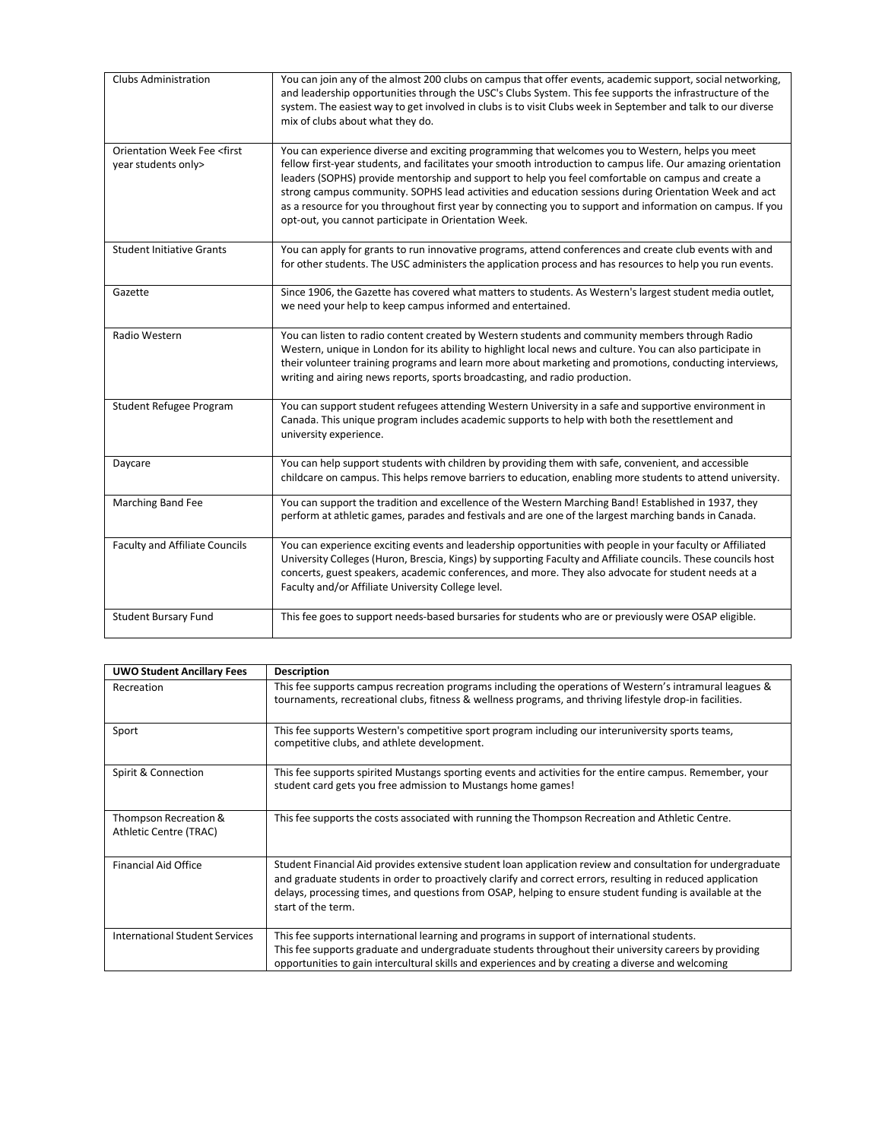| <b>Clubs Administration</b>                                      | You can join any of the almost 200 clubs on campus that offer events, academic support, social networking,<br>and leadership opportunities through the USC's Clubs System. This fee supports the infrastructure of the<br>system. The easiest way to get involved in clubs is to visit Clubs week in September and talk to our diverse<br>mix of clubs about what they do.                                                                                                                                                                                                                            |
|------------------------------------------------------------------|-------------------------------------------------------------------------------------------------------------------------------------------------------------------------------------------------------------------------------------------------------------------------------------------------------------------------------------------------------------------------------------------------------------------------------------------------------------------------------------------------------------------------------------------------------------------------------------------------------|
| Orientation Week Fee <first<br>year students only&gt;</first<br> | You can experience diverse and exciting programming that welcomes you to Western, helps you meet<br>fellow first-year students, and facilitates your smooth introduction to campus life. Our amazing orientation<br>leaders (SOPHS) provide mentorship and support to help you feel comfortable on campus and create a<br>strong campus community. SOPHS lead activities and education sessions during Orientation Week and act<br>as a resource for you throughout first year by connecting you to support and information on campus. If you<br>opt-out, you cannot participate in Orientation Week. |
| <b>Student Initiative Grants</b>                                 | You can apply for grants to run innovative programs, attend conferences and create club events with and<br>for other students. The USC administers the application process and has resources to help you run events.                                                                                                                                                                                                                                                                                                                                                                                  |
| Gazette                                                          | Since 1906, the Gazette has covered what matters to students. As Western's largest student media outlet,<br>we need your help to keep campus informed and entertained.                                                                                                                                                                                                                                                                                                                                                                                                                                |
| Radio Western                                                    | You can listen to radio content created by Western students and community members through Radio<br>Western, unique in London for its ability to highlight local news and culture. You can also participate in<br>their volunteer training programs and learn more about marketing and promotions, conducting interviews,<br>writing and airing news reports, sports broadcasting, and radio production.                                                                                                                                                                                               |
| Student Refugee Program                                          | You can support student refugees attending Western University in a safe and supportive environment in<br>Canada. This unique program includes academic supports to help with both the resettlement and<br>university experience.                                                                                                                                                                                                                                                                                                                                                                      |
| Daycare                                                          | You can help support students with children by providing them with safe, convenient, and accessible<br>childcare on campus. This helps remove barriers to education, enabling more students to attend university.                                                                                                                                                                                                                                                                                                                                                                                     |
| Marching Band Fee                                                | You can support the tradition and excellence of the Western Marching Band! Established in 1937, they<br>perform at athletic games, parades and festivals and are one of the largest marching bands in Canada.                                                                                                                                                                                                                                                                                                                                                                                         |
| <b>Faculty and Affiliate Councils</b>                            | You can experience exciting events and leadership opportunities with people in your faculty or Affiliated<br>University Colleges (Huron, Brescia, Kings) by supporting Faculty and Affiliate councils. These councils host<br>concerts, guest speakers, academic conferences, and more. They also advocate for student needs at a<br>Faculty and/or Affiliate University College level.                                                                                                                                                                                                               |
| <b>Student Bursary Fund</b>                                      | This fee goes to support needs-based bursaries for students who are or previously were OSAP eligible.                                                                                                                                                                                                                                                                                                                                                                                                                                                                                                 |

| <b>UWO Student Ancillary Fees</b>                      | <b>Description</b>                                                                                                                                                                                                                                                                                                                                          |
|--------------------------------------------------------|-------------------------------------------------------------------------------------------------------------------------------------------------------------------------------------------------------------------------------------------------------------------------------------------------------------------------------------------------------------|
| Recreation                                             | This fee supports campus recreation programs including the operations of Western's intramural leagues &<br>tournaments, recreational clubs, fitness & wellness programs, and thriving lifestyle drop-in facilities.                                                                                                                                         |
| Sport                                                  | This fee supports Western's competitive sport program including our interuniversity sports teams,<br>competitive clubs, and athlete development.                                                                                                                                                                                                            |
| Spirit & Connection                                    | This fee supports spirited Mustangs sporting events and activities for the entire campus. Remember, your<br>student card gets you free admission to Mustangs home games!                                                                                                                                                                                    |
| Thompson Recreation &<br><b>Athletic Centre (TRAC)</b> | This fee supports the costs associated with running the Thompson Recreation and Athletic Centre.                                                                                                                                                                                                                                                            |
| <b>Financial Aid Office</b>                            | Student Financial Aid provides extensive student loan application review and consultation for undergraduate<br>and graduate students in order to proactively clarify and correct errors, resulting in reduced application<br>delays, processing times, and questions from OSAP, helping to ensure student funding is available at the<br>start of the term. |
| <b>International Student Services</b>                  | This fee supports international learning and programs in support of international students.<br>This fee supports graduate and undergraduate students throughout their university careers by providing<br>opportunities to gain intercultural skills and experiences and by creating a diverse and welcoming                                                 |